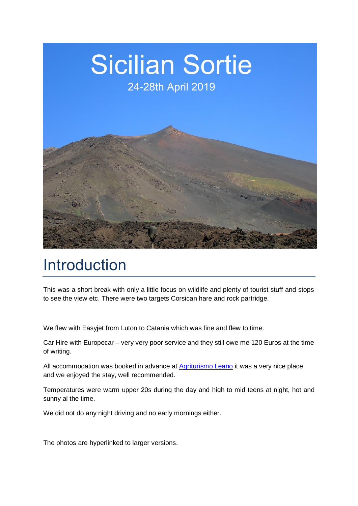

# Introduction

This was a short break with only a little focus on wildlife and plenty of tourist stuff and stops to see the view etc. There were two targets Corsican hare and rock partridge.

We flew with Easyjet from Luton to Catania which was fine and flew to time.

Car Hire with Europecar – very very poor service and they still owe me 120 Euros at the time of writing.

All accommodation was booked in advance at **Agriturismo Leano** it was a very nice place and we enjoyed the stay, well recommended.

Temperatures were warm upper 20s during the day and high to mid teens at night, hot and sunny al the time.

We did not do any night driving and no early mornings either.

The photos are hyperlinked to larger versions.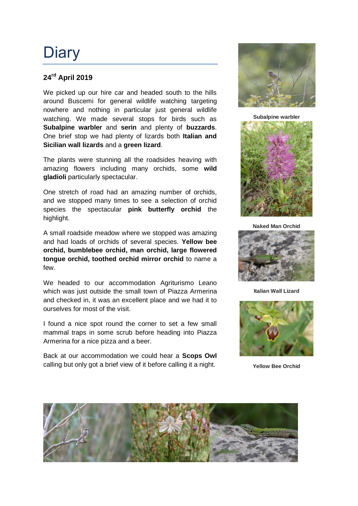## **Diary**

#### **24 rd April 2019**

We picked up our hire car and headed south to the hills around Buscemi for general wildlife watching targeting nowhere and nothing in particular just general wildlife watching. We made several stops for birds such as **Subalpine warbler** and **serin** and plenty of **buzzards**. One brief stop we had plenty of lizards both **Italian and Sicilian wall lizards** and a **green lizard**.

The plants were stunning all the roadsides heaving with amazing flowers including many orchids, some **wild gladioli** particularly spectacular.

One stretch of road had an amazing number of orchids, and we stopped many times to see a selection of orchid species the spectacular **pink butterfly orchid** the highlight.

A small roadside meadow where we stopped was amazing and had loads of orchids of several species. **Yellow bee orchid, bumblebee orchid, man orchid, large flowered tongue orchid, toothed orchid mirror orchid** to name a few.

We headed to our accommodation Agriturismo Leano which was just outside the small town of Piazza Armerina and checked in, it was an excellent place and we had it to ourselves for most of the visit.

I found a nice spot round the corner to set a few small mammal traps in some scrub before heading into Piazza Armerina for a nice pizza and a beer.

Back at our accommodation we could hear a **Scops Owl**  calling but only got a brief view of it before calling it a night.



**Subalpine warbler** 



**Naked Man Orchid**



**Italian Wall Lizard**



**Yellow Bee Orchid**

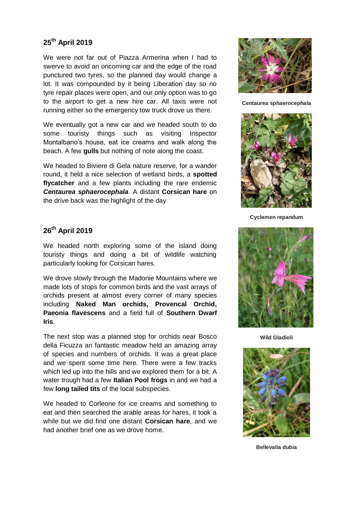#### **25th April 2019**

We were not far out of Piazza Armerina when I had to swerve to avoid an oncoming car and the edge of the road punctured two tyres, so the planned day would change a lot. It was compounded by it being Liberation day so no tyre repair places were open, and our only option was to go to the airport to get a new hire car. All taxis were not running either so the emergency tow truck drove us there.

We eventually got a new car and we headed south to do some touristy things such as visiting Inspector Montalbano's house, eat ice creams and walk along the beach. A few **gulls** but nothing of note along the coast.

We headed to Biviere di Gela nature reserve, for a wander round, it held a nice selection of wetland birds, a **spotted flycatcher** and a few plants including the rare endemic *Centaurea sphaerocephala*. A distant **Corsican hare** on the drive back was the highlight of the day

#### **26 th April 2019**

We headed north exploring some of the island doing touristy things and doing a bit of wildlife watching particularly looking for Corsican hares.

We drove slowly through the Madonie Mountains where we made lots of stops for common birds and the vast arrays of orchids present at almost every corner of many species including **Naked Man orchids, Provencal Orchid, Paeonia flavescens** and a field full of **Southern Dwarf Iris**.

The next stop was a planned stop for orchids near Bosco della Ficuzza an fantastic meadow held an amazing array of species and numbers of orchids. It was a great place and we spent some time here. There were a few tracks which led up into the hills and we explored them for a bit. A water trough had a few **Italian Pool frogs** in and we had a few **long tailed tits** of the local subspecies.

We headed to Corleone for ice creams and something to eat and then searched the arable areas for hares, it took a while but we did find one distant **Corsican hare**, and we had another brief one as we drove home.



**Centaurea sphaerocephala**



**Cyclamen repandum**



**Wild Gladioli**



**Bellevalia dubia**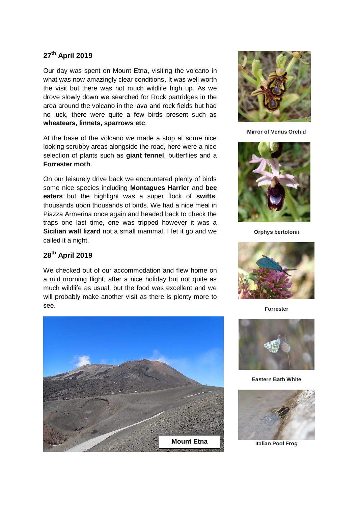#### **27 th April 2019**

Our day was spent on Mount Etna, visiting the volcano in what was now amazingly clear conditions. It was well worth the visit but there was not much wildlife high up. As we drove slowly down we searched for Rock partridges in the area around the volcano in the lava and rock fields but had no luck, there were quite a few birds present such as **wheatears, linnets, sparrows etc**.

At the base of the volcano we made a stop at some nice looking scrubby areas alongside the road, here were a nice selection of plants such as **giant fennel**, butterflies and a **Forrester moth**.

On our leisurely drive back we encountered plenty of birds some nice species including **Montagues Harrier** and **bee eaters** but the highlight was a super flock of **swifts**, thousands upon thousands of birds. We had a nice meal in Piazza Armerina once again and headed back to check the traps one last time, one was tripped however it was a **Sicilian wall lizard** not a small mammal, I let it go and we called it a night.

#### **28 th April 2019**

We checked out of our accommodation and flew home on a mid morning flight, after a nice holiday but not quite as much wildlife as usual, but the food was excellent and we will probably make another visit as there is plenty more to see.





**Mirror of Venus Orchid**



**Orphys bertolonii**



**Forrester**



**Eastern Bath White**

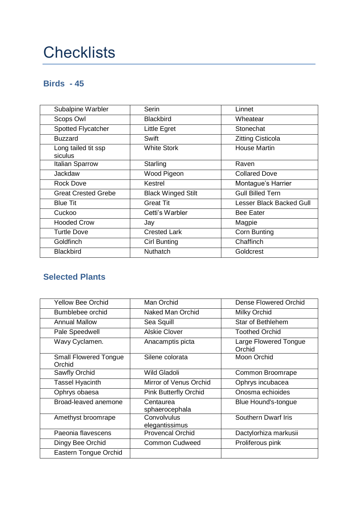# **Checklists**

### **Birds - 45**

| Subalpine Warbler              | <b>Serin</b>              | Linnet                          |
|--------------------------------|---------------------------|---------------------------------|
| Scops Owl                      | <b>Blackbird</b>          | Wheatear                        |
| Spotted Flycatcher             | Little Egret              | Stonechat                       |
| <b>Buzzard</b>                 | Swift                     | <b>Zitting Cisticola</b>        |
| Long tailed tit ssp<br>siculus | <b>White Stork</b>        | <b>House Martin</b>             |
| Italian Sparrow                | Starling                  | Raven                           |
| Jackdaw                        | Wood Pigeon               | <b>Collared Dove</b>            |
| <b>Rock Dove</b>               | Kestrel                   | Montague's Harrier              |
| <b>Great Crested Grebe</b>     | <b>Black Winged Stilt</b> | <b>Gull Billed Tern</b>         |
| <b>Blue Tit</b>                | <b>Great Tit</b>          | <b>Lesser Black Backed Gull</b> |
| Cuckoo                         | Cetti's Warbler           | <b>Bee Eater</b>                |
| <b>Hooded Crow</b>             | Jay                       | Magpie                          |
| <b>Turtle Dove</b>             | <b>Crested Lark</b>       | <b>Corn Bunting</b>             |
| <b>Goldfinch</b>               | <b>Cirl Bunting</b>       | Chaffinch                       |
| <b>Blackbird</b>               | <b>Nuthatch</b>           | Goldcrest                       |

### **Selected Plants**

| <b>Yellow Bee Orchid</b>               | Man Orchid                    | Dense Flowered Orchid           |
|----------------------------------------|-------------------------------|---------------------------------|
| Bumblebee orchid                       | Naked Man Orchid              | <b>Milky Orchid</b>             |
| <b>Annual Mallow</b>                   | Sea Squill                    | <b>Star of Bethlehem</b>        |
| Pale Speedwell                         | <b>Alskie Clover</b>          | <b>Toothed Orchid</b>           |
| Wavy Cyclamen.                         | Anacamptis picta              | Large Flowered Tongue<br>Orchid |
| <b>Small Flowered Tongue</b><br>Orchid | Silene colorata               | Moon Orchid                     |
| Sawfly Orchid                          | <b>Wild Gladoli</b>           | Common Broomrape                |
| <b>Tassel Hyacinth</b>                 | Mirror of Venus Orchid        | Ophrys incubacea                |
| Ophrys obaesa                          | <b>Pink Butterfly Orchid</b>  | Onosma echioides                |
| Broad-leaved anemone                   | Centaurea<br>sphaerocephala   | Blue Hound's-tongue             |
| Amethyst broomrape                     | Convolvulus<br>elegantissimus | <b>Southern Dwarf Iris</b>      |
| Paeonia flavescens                     | <b>Provencal Orchid</b>       | Dactylorhiza markusii           |
| Dingy Bee Orchid                       | <b>Common Cudweed</b>         | Proliferous pink                |
| Eastern Tongue Orchid                  |                               |                                 |